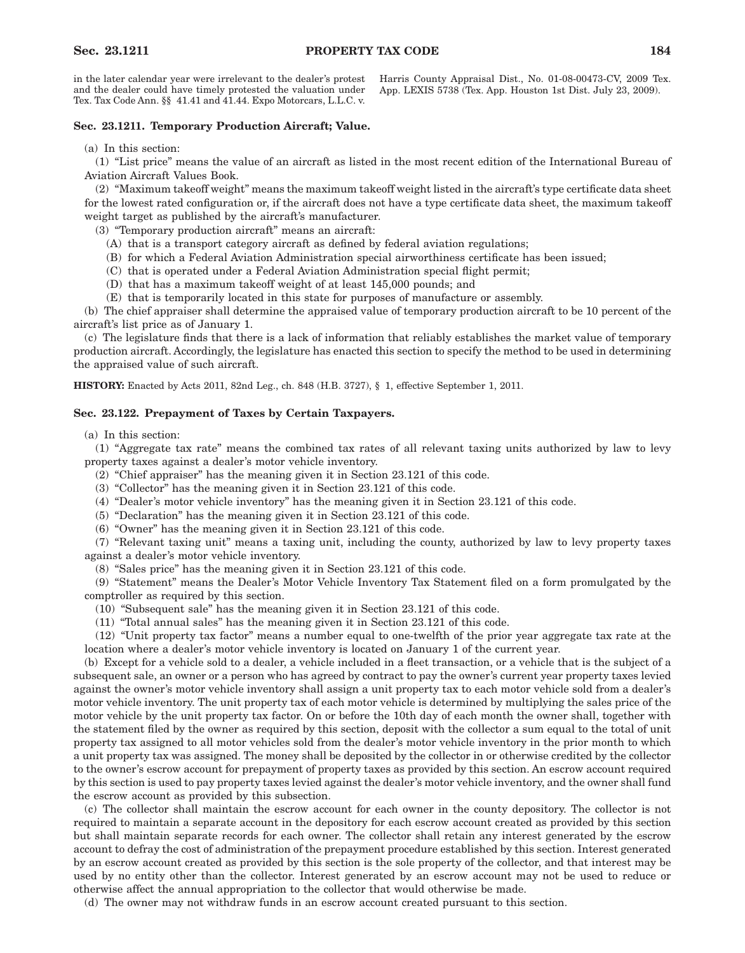in the later calendar year were irrelevant to the dealer's protest and the dealer could have timely protested the valuation under Tex. Tax Code Ann. §§ 41.41 and 41.44. Expo Motorcars, L.L.C. v.

Harris County Appraisal Dist., No. 01-08-00473-CV, 2009 Tex. App. LEXIS 5738 (Tex. App. Houston 1st Dist. July 23, 2009).

## **Sec. 23.1211. Temporary Production Aircraft; Value.**

(a) In this section:

(1) "List price" means the value of an aircraft as listed in the most recent edition of the International Bureau of Aviation Aircraft Values Book.

(2) "Maximum takeoff weight" means the maximum takeoff weight listed in the aircraft's type certificate data sheet for the lowest rated configuration or, if the aircraft does not have a type certificate data sheet, the maximum takeoff weight target as published by the aircraft's manufacturer.

(3) "Temporary production aircraft" means an aircraft:

- (A) that is a transport category aircraft as defined by federal aviation regulations;
- (B) for which a Federal Aviation Administration special airworthiness certificate has been issued;
- (C) that is operated under a Federal Aviation Administration special flight permit;
- (D) that has a maximum takeoff weight of at least 145,000 pounds; and
- (E) that is temporarily located in this state for purposes of manufacture or assembly.

(b) The chief appraiser shall determine the appraised value of temporary production aircraft to be 10 percent of the aircraft's list price as of January 1.

(c) The legislature finds that there is a lack of information that reliably establishes the market value of temporary production aircraft. Accordingly, the legislature has enacted this section to specify the method to be used in determining the appraised value of such aircraft.

**HISTORY:** Enacted by Acts 2011, 82nd Leg., ch. 848 (H.B. 3727), § 1, effective September 1, 2011.

## **Sec. 23.122. Prepayment of Taxes by Certain Taxpayers.**

(a) In this section:

(1) "Aggregate tax rate" means the combined tax rates of all relevant taxing units authorized by law to levy property taxes against a dealer's motor vehicle inventory.

- (2) "Chief appraiser" has the meaning given it in Section 23.121 of this code.
- (3) "Collector" has the meaning given it in Section 23.121 of this code.
- (4) "Dealer's motor vehicle inventory" has the meaning given it in Section 23.121 of this code.
- (5) "Declaration" has the meaning given it in Section 23.121 of this code.
- (6) "Owner" has the meaning given it in Section 23.121 of this code.

(7) "Relevant taxing unit" means a taxing unit, including the county, authorized by law to levy property taxes against a dealer's motor vehicle inventory.

(8) "Sales price" has the meaning given it in Section 23.121 of this code.

(9) "Statement" means the Dealer's Motor Vehicle Inventory Tax Statement filed on a form promulgated by the comptroller as required by this section.

(10) "Subsequent sale" has the meaning given it in Section 23.121 of this code.

(11) "Total annual sales" has the meaning given it in Section 23.121 of this code.

(12) "Unit property tax factor" means a number equal to one-twelfth of the prior year aggregate tax rate at the location where a dealer's motor vehicle inventory is located on January 1 of the current year.

(b) Except for a vehicle sold to a dealer, a vehicle included in a fleet transaction, or a vehicle that is the subject of a subsequent sale, an owner or a person who has agreed by contract to pay the owner's current year property taxes levied against the owner's motor vehicle inventory shall assign a unit property tax to each motor vehicle sold from a dealer's motor vehicle inventory. The unit property tax of each motor vehicle is determined by multiplying the sales price of the motor vehicle by the unit property tax factor. On or before the 10th day of each month the owner shall, together with the statement filed by the owner as required by this section, deposit with the collector a sum equal to the total of unit property tax assigned to all motor vehicles sold from the dealer's motor vehicle inventory in the prior month to which a unit property tax was assigned. The money shall be deposited by the collector in or otherwise credited by the collector to the owner's escrow account for prepayment of property taxes as provided by this section. An escrow account required by this section is used to pay property taxes levied against the dealer's motor vehicle inventory, and the owner shall fund the escrow account as provided by this subsection.

(c) The collector shall maintain the escrow account for each owner in the county depository. The collector is not required to maintain a separate account in the depository for each escrow account created as provided by this section but shall maintain separate records for each owner. The collector shall retain any interest generated by the escrow account to defray the cost of administration of the prepayment procedure established by this section. Interest generated by an escrow account created as provided by this section is the sole property of the collector, and that interest may be used by no entity other than the collector. Interest generated by an escrow account may not be used to reduce or otherwise affect the annual appropriation to the collector that would otherwise be made.

(d) The owner may not withdraw funds in an escrow account created pursuant to this section.